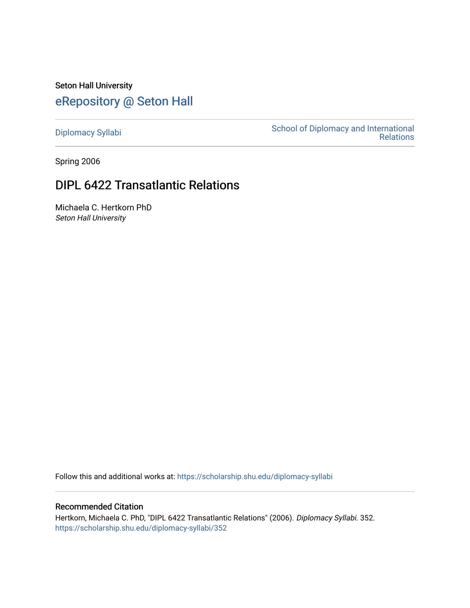Seton Hall University [eRepository @ Seton Hall](https://scholarship.shu.edu/)

[Diplomacy Syllabi](https://scholarship.shu.edu/diplomacy-syllabi) [School of Diplomacy and International](https://scholarship.shu.edu/diplomacy)  [Relations](https://scholarship.shu.edu/diplomacy) 

Spring 2006

# DIPL 6422 Transatlantic Relations

Michaela C. Hertkorn PhD Seton Hall University

Follow this and additional works at: [https://scholarship.shu.edu/diplomacy-syllabi](https://scholarship.shu.edu/diplomacy-syllabi?utm_source=scholarship.shu.edu%2Fdiplomacy-syllabi%2F352&utm_medium=PDF&utm_campaign=PDFCoverPages) 

## Recommended Citation

Hertkorn, Michaela C. PhD, "DIPL 6422 Transatlantic Relations" (2006). Diplomacy Syllabi. 352. [https://scholarship.shu.edu/diplomacy-syllabi/352](https://scholarship.shu.edu/diplomacy-syllabi/352?utm_source=scholarship.shu.edu%2Fdiplomacy-syllabi%2F352&utm_medium=PDF&utm_campaign=PDFCoverPages)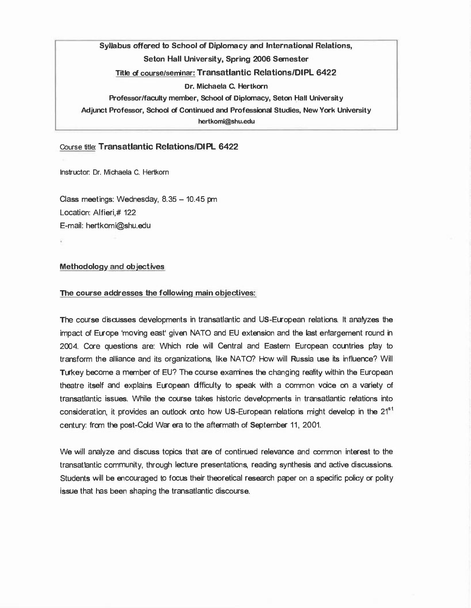## Syllabus offered to School of Diplomacy and International Relations, Seton Hall University, Spring 2006 Semester Title of course/seminar: Transatlantic Relations/DI **PL** 6422 Dr. Michaela C. Hertkorn Professor/faculty member, School of Diplomacy, Seton Hall University Adjunct Professor, School of Continued and Professional Studies, New York University hertkoml@shu.edu

## Course title: Transatlantic Relations/DI **PL** 6422

Instructor: Dr. Michaela C. Hertkorn

Class meetings: Wednesday, 8.35 - 10.45 pm Location: Alfieri,# 122 E-mail: hertkomi@shu.edu

#### Methodology and objectives

#### The course addresses the following main objectives:

The course discusses developments in transatlantic and US-European relations. It analyzes the impact of Europe 'moving east' given NATO and EU extension and the last enlargement round in 2004. Core questions are: Which role will Central and Eastern European countries play to transform the alliance and its organizations, like NATO? How will Russia use its influence? Will Turkey become a member of EU? The course examines the changing reality within the European theatre itself and explains European difficulty to speak with a common voice on a variety of transatlantic issues. While the course takes historic developments in transatlantic relations into consideration, it provides an outlook onto how US-European relations might develop in the 21<sup>st</sup> century: from the post-Cold War era to the aftermath of September 11, 2001.

We will analyze and discuss topics that are of continued relevance and common interest to the transatlantic community, through lecture presentations, reading synthesis and active discussions. Students will be encouraged to focus their theoretical research paper on a specific policy or polity issue that has been shaping the transatlantic discourse.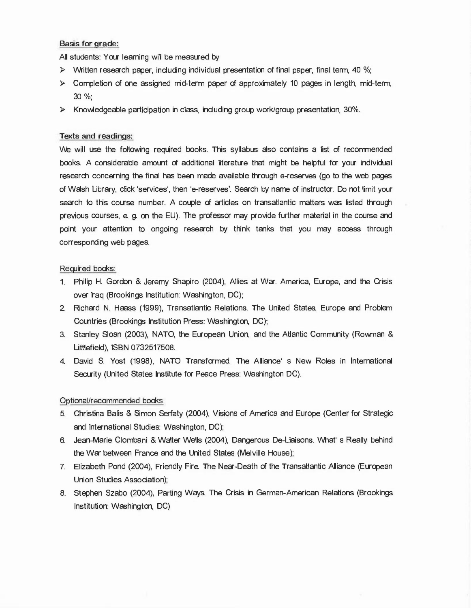## Basis for grade:

All students: Your learning will be measured by

- $\triangleright$  Written research paper, including individual presentation of final paper, final term, 40 %;
- $\triangleright$  Completion of one assigned mid-term paper of approximately 10 pages in length, mid-term, 30 %;
- $\triangleright$  Knowledgeable participation in class, including group work/group presentation, 30%.

## Texts and readings:

We will use the following required books. This syllabus also contains a list of recommended books. A considerable amount of additional literature that might be helpful for your individual research concerning the final has been made available through e-reserves (go to the web pages of Walsh Library, click 'services', then 'e-reserves'. Search by name of instructor. Do not limit your search to this course number. A couple of articles on transatlantic matters was listed through previous courses, e. g. on the EU). The professor may provide further material in the course and point your attention to ongoing research by think tanks that you may access through corresponding web pages.

## Required books:

- 1. Philip H. Gordon & Jeremy Shapiro (2004), Allies at War. America, Europe, and the Crisis over Iraq (Brookings Institution: Washington, DC);
- 2. Richard N. Haass (1999), Transatlantic Relations. The United States, Europe and Problem Countries (Brookings Institution Press: Washington, DC);
- 3. Stanley Sloan (2003), NATO, the European Union, and the Atlantic Community (Rowman & Littlefield), ISBN 0732517508.
- 4. David S. Yost (1998), NATO Transformed. The Alliance' s New Roles in International Security (United States Institute for Peace Press: Washington DC).

## Optional/recommended books

- 5. Christina Balis & Simon Serfaty (2004), Visions of America and Europe (Center for Strategic and International Studies: Washington, DC);
- 6. Jean-Marie Clombani & Walter Wells (2004), Dangerous De-Liaisons. What' s Really behind the War between France and the United States (Melville House);
- 7. Elizabeth Pond (2004), Friendly Fire. The Near-Death of the Transatlantic Alliance (European Union Studies Association);
- 8. Stephen Szabo (2004), Parting Ways. The Crisis in German-American Relations (Brookings Institution: Washington, DC)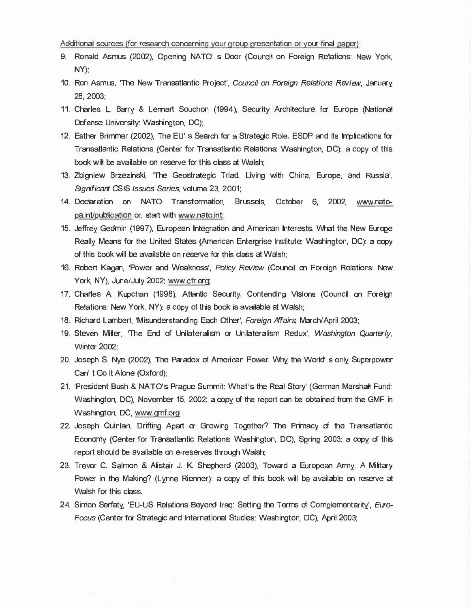Additional sources (for research concerning your group presentation or your final paper)

- 9. Ronald Asmus (2002), Opening NATO' s Door (Council on Foreign Relations: New York, NY);
- 10. Ron Asmus, 'The New Transatlantic Project', *Council on Foreign Relations Review,* January 28, 2003;
- 11. Charles L. Barry & Lennart Souchon (1994), Security Architecture for Europe (National Defense University: Washington, DC);
- 12. Esther Brimmer (2002), The EU' s Search for a Strategic Role. ESDP and its Implications for Transatlantic Relations (Center for Transatlantic Relations: Washington, DC): a copy of this book will be available on reserve for this class at Walsh;
- 13. Zbigniew Brzezinski, 'The Geostrategic Triad. Living with China, Europe, and Russia', *Significant* CSIS *Issues Series,* volume 23, 2001;
- 14. Declaration on NATO Transformation, Brussels, October 6, 2002, www.natopa.int/publication or, start with www.nato.int;
- 15. Jeffrey Gedmin (1997), European Integration and American Interests. What the New Europe Really Means for the United States (American Enterprise Institute: Washington, DC): a copy of this book will be available on reserve for this class at Walsh;
- 16. Robert Kagan, 'Power and Weakness', *Policy Review* (Council on Foreign Relations: New York, NY), June/July 2002: www.cfr.org;
- 17. Charles A. Kupchan (1998), Atlantic Security. Contending Visions (Council on Foreign Relations: New York, NY): a copy of this book is available at Walsh;
- 1 8. Richard Lambert, 'Misunderstanding Each Other', *Foreign Affairs,* March/April 2003;
- 19. Steven Miller, 'The End of Unilateralism or Unilateralism Redux', *Washington Quarterly,*  Winter 2002;
- 20. Joseph S. Nye (2002), The Paradox of American Power. Why the World' s only Superpower Can' t Go it Alone (Oxford);
- 2 1. 'President Bush & NATO's Prague Summit: What's the Real Story' (German Marshall Fund: Washington, DC), November 15, 2002: a copy of the report can be obtained from the GMF in Washington, DC, www.gmf.org
- 22. Joseph Quinlan, Drifting Apart or Growing Together? The Primacy of the Transatlantic Economy (Center for Transatlantic Relations: Washington, DC), Spring 2003: a copy of this report should be available on e-reserves through Walsh;
- 23. Trevor C. Salmon & Alistair J. K. Shepherd (2003), Toward a European Army. A Military Power in the Making? (Lynne Rienner): a copy of this book will be available on reserve at Walsh for this class.
- 24. Simon Serfaty, 'EU-US Relations Beyond Iraq: Setting the Terms of Complementarity', *Euro-Focus* (Center for Strategic and International Studies: Washington, DC), April 2003;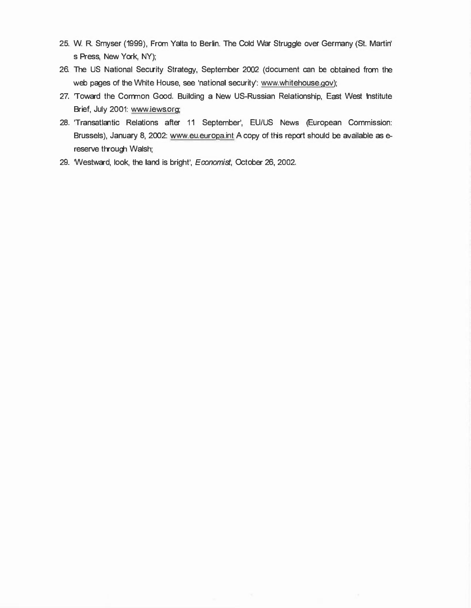- 25. W. R. Smyser (1999), From Yalta to Berlin. The Cold War Struggle over Germany (St. Martin' s Press, New York, NY);
- 26. The US National Security Strategy, September 2002 (document can be obtained from the web pages of the White House, see 'national security': www.whitehouse.gov);
- 27. 'Toward the Common Good. Building a New US-Russian Relationship, East West Institute Brief, July 2001: www.iews.org;
- 28. 'Transatlantic Relations after 11 September', EU/US News (European Commission: Brussels), January 8, 2002: www.eu.europa.int A copy of this report should be available as ereserve through Walsh;
- 29. 'Westward, look, the land is bright', *Economist,* October 26, 2002.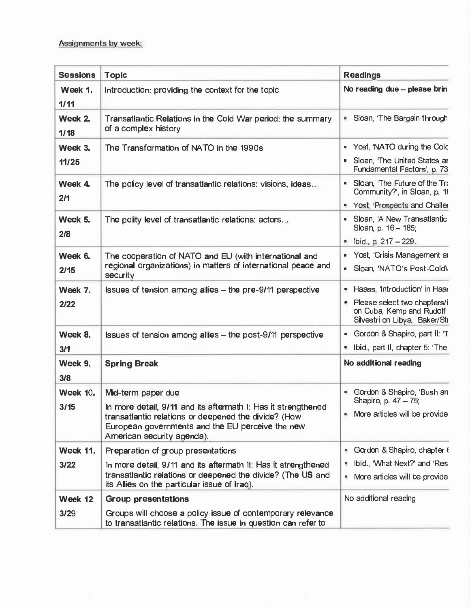| <b>Sessions</b>         | <b>Topic</b>                                                                                                                                                                                                                  | <b>Readings</b>                                                                                                                  |
|-------------------------|-------------------------------------------------------------------------------------------------------------------------------------------------------------------------------------------------------------------------------|----------------------------------------------------------------------------------------------------------------------------------|
| Week 1.<br>1/11         | Introduction: providing the context for the topic                                                                                                                                                                             | No reading due - please brin                                                                                                     |
| Week 2.<br>1/18         | Transatlantic Relations in the Cold War period: the summary<br>of a complex history                                                                                                                                           | Sloan, 'The Bargain through                                                                                                      |
| Week 3.<br>11/25        | The Transformation of NATO in the 1990s                                                                                                                                                                                       | Yost, 'NATO during the Cold<br>• Sloan, 'The United States ar<br>Fundamental Factors', p. 73                                     |
| Week 4.<br>2/1          | The policy level of transatlantic relations: visions, ideas                                                                                                                                                                   | Sloan, 'The Future of the Tra<br>Community?', in Sloan, p. 1!<br>" Yost, 'Prospects and Challer                                  |
| Week 5.<br>2/8          | The polity level of transatlantic relations: actors                                                                                                                                                                           | Sloan, A New Transatlantic<br>$\blacksquare$<br>Sloan, p. 16 - 185;<br>$\blacksquare$ lbid., p. 217 – 229.                       |
| Week 6.<br>2/15         | The cooperation of NATO and EU (with international and<br>regional organizations) in matters of international peace and<br>security                                                                                           | Yost 'Crisis Management a<br>Sloan, 'NATO's Post-Cold\<br>٠                                                                      |
| Week 7.<br>2/22         | Issues of tension among allies - the pre-9/11 perspective                                                                                                                                                                     | Haass, 'Introduction' in Haas<br>۰.<br>Please select two chapters/i<br>on Cuba, Kemp and Rudolf<br>Silvestri on Libya, Baker/Sti |
| Week 8.<br>3/1          | Issues of tension among allies - the post-9/11 perspective                                                                                                                                                                    | Gordon & Shapiro, part II: 'T<br>$\blacksquare$<br>Ibid., part II, chapter 5: 'The<br>٠                                          |
| Week 9.<br>3/8          | <b>Spring Break</b>                                                                                                                                                                                                           | No additional reading                                                                                                            |
| <b>Week 10.</b><br>3/15 | Mid-term paper due<br>In more detail, 9/11 and its aftermath I: Has it strengthened<br>transatlantic relations or deepened the divide? (How<br>European governments and the EU perceive the new<br>American security agenda). | Gordon & Shapiro, 'Bush an<br>Shapiro p 47 - 75;<br>- More articles will be provide                                              |
| <b>Week 11.</b><br>3/22 | Preparation of group presentations<br>In more detail, 9/11 and its aftermath II: Has it strengthened<br>transatlantic relations or deepened the divide? (The US and<br>its Allies on the particular issue of Iraq).           | Gordon & Shapiro, chapter 6<br>ш.<br>Ibid., 'What Next?' and 'Res<br>More articles will be provide<br>$\blacksquare$             |
| Week 12<br>3/29         | <b>Group presentations</b><br>Groups will choose a policy issue of contemporary relevance<br>to transatlantic relations. The issue in question can refer to                                                                   | No additional reading                                                                                                            |